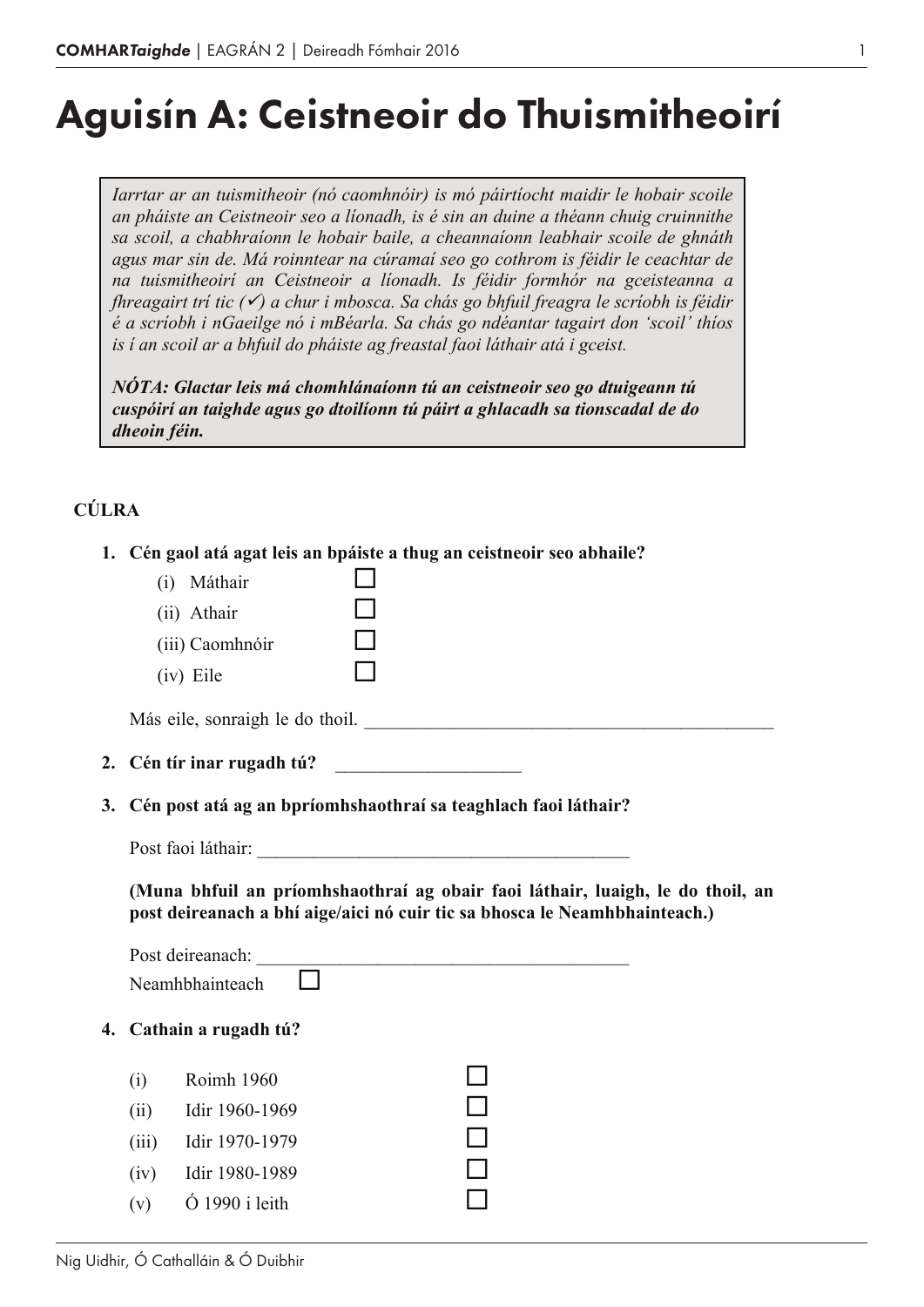# Aguisín A: Ceistneoir do Thuismitheoirí

*Iarrtar ar an tuismitheoir (nó caomhnóir) is mó páirtíocht maidir le hobair scoile an pháiste an Ceistneoir seo a líonadh, is é sin an duine a théann chuig cruinnithe sa scoil, a chabhraíonn le hobair baile, a cheannaíonn leabhair scoile de ghnáth agus mar sin de. Má roinntear na cúramaí seo go cothrom is féidir le ceachtar de na tuismitheoirí an Ceistneoir a líonadh. Is féidir formhór na gceisteanna a fhreagairt trí tic (*<sup>ü</sup>*) a chur i mbosca. Sa chás go bhfuil freagra le scríobh is féidir é a scríobh i nGaeilge nó i mBéarla. Sa chás go ndéantar tagairt don 'scoil' thíos is í an scoil ar a bhfuil do pháiste ag freastal faoi láthair atá i gceist.*

*NÓTA: Glactar leis má chomhlánaíonn tú an ceistneoir seo go dtuigeann tú cuspóirí an taighde agus go dtoilíonn tú páirt a ghlacadh sa tionscadal de do dheoin féin.*

## **CÚLRA**

| 1. Cén gaol atá agat leis an bpáiste a thug an ceistneoir seo abhaile?<br>(i) Máthair<br>(ii) Athair<br>(iii) Caomhnóir<br>(iv) Eile<br>Más eile, sonraigh le do thoil. |  |  |  |  |  |
|-------------------------------------------------------------------------------------------------------------------------------------------------------------------------|--|--|--|--|--|
|                                                                                                                                                                         |  |  |  |  |  |
| Cén post atá ag an bpríomhshaothraí sa teaghlach faoi láthair?                                                                                                          |  |  |  |  |  |
|                                                                                                                                                                         |  |  |  |  |  |
| (Muna bhfuil an príomhshaothraí ag obair faoi láthair, luaigh, le do thoil, an<br>post deireanach a bhí aige/aici nó cuir tic sa bhosca le Neamhbhainteach.)            |  |  |  |  |  |
| Post deireanach:<br>Neamhbhainteach                                                                                                                                     |  |  |  |  |  |
| Cathain a rugadh tú?<br>4.                                                                                                                                              |  |  |  |  |  |
| Roimh 1960<br>(i)<br>Idir 1960-1969<br>(ii)<br>(iii)<br>Idir 1970-1979<br>Idir 1980-1989<br>(iv)<br>$\dot{\text{O}}$ 1990 i leith<br>(v)                                |  |  |  |  |  |
|                                                                                                                                                                         |  |  |  |  |  |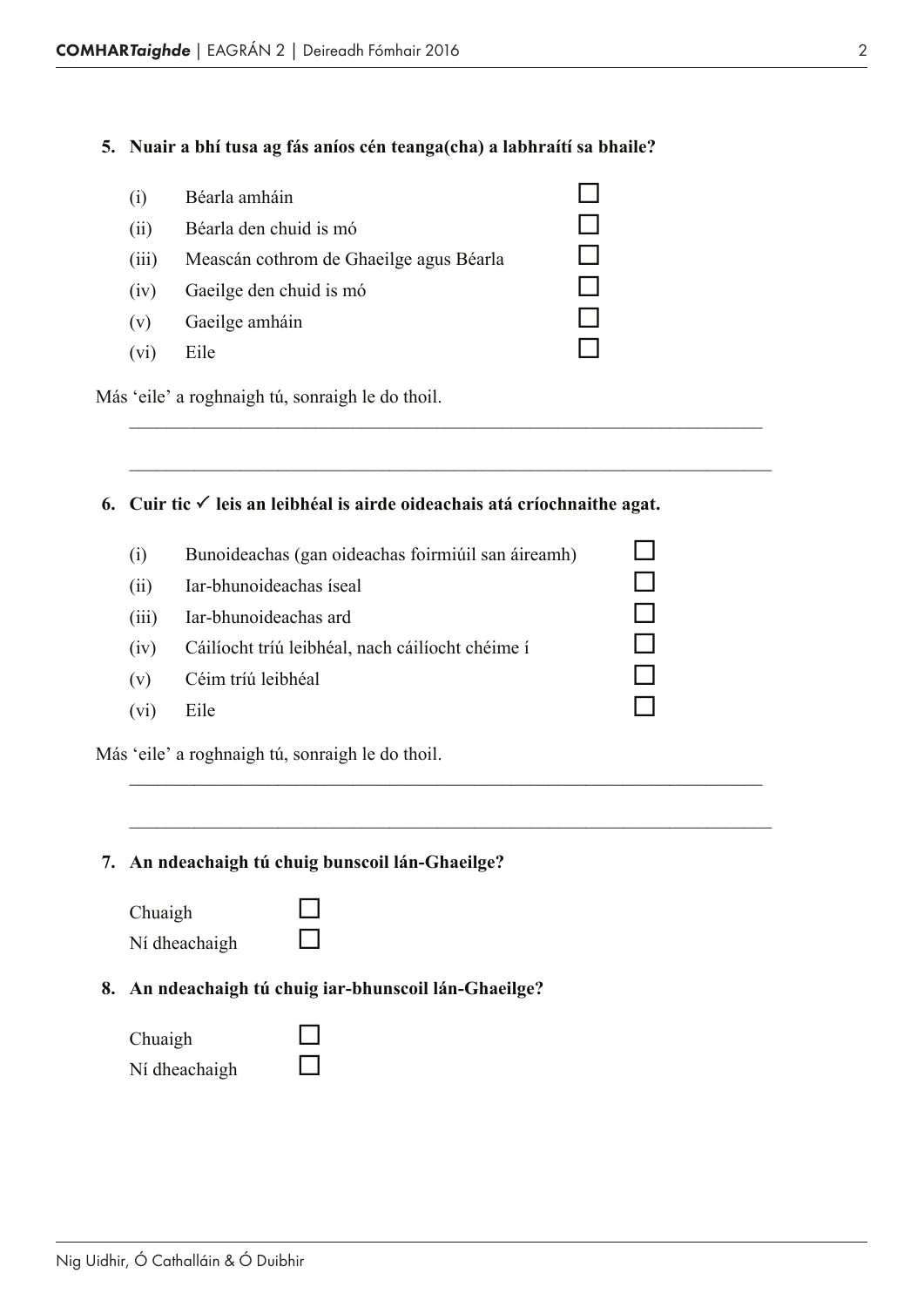#### **5. Nuair a bhí tusa ag fás aníos cén teanga(cha) a labhraítí sa bhaile?**

| (1)   | Béarla amháin                           |  |
|-------|-----------------------------------------|--|
| (ii)  | Béarla den chuid is mó                  |  |
| (111) | Meascán cothrom de Ghaeilge agus Béarla |  |
| (iv)  | Gaeilge den chuid is mó                 |  |
| (v)   | Gaeilge amháin                          |  |
| (V1)  | Eile                                    |  |

Más 'eile' a roghnaigh tú, sonraigh le do thoil.

## **6.** Cuir tic  $\checkmark$  leis an leibhéal is airde oideachais atá críochnaithe agat.

\_\_\_\_\_\_\_\_\_\_\_\_\_\_\_\_\_\_\_\_\_\_\_\_\_\_\_\_\_\_\_\_\_\_\_\_\_\_\_\_\_\_\_\_\_\_\_\_\_\_\_\_\_\_\_\_\_\_\_\_\_\_\_\_\_\_\_\_

\_\_\_\_\_\_\_\_\_\_\_\_\_\_\_\_\_\_\_\_\_\_\_\_\_\_\_\_\_\_\_\_\_\_\_\_\_\_\_\_\_\_\_\_\_\_\_\_\_\_\_\_\_\_\_\_\_\_\_\_\_\_\_\_\_\_\_\_\_

| (1)               | Bunoideachas (gan oideachas foirmiúil san áireamh) |  |
|-------------------|----------------------------------------------------|--|
| (i)               | Iar-bhunoideachas íseal                            |  |
| (111)             | Iar-bhunoideachas ard                              |  |
| (1V)              | Cáilíocht tríú leibhéal, nach cáilíocht chéime í   |  |
| (v)               | Céim tríú leibhéal                                 |  |
| (v <sub>1</sub> ) | Eile                                               |  |
|                   | Más 'eile' a roghnaigh tú, sonraigh le do thoil.   |  |

\_\_\_\_\_\_\_\_\_\_\_\_\_\_\_\_\_\_\_\_\_\_\_\_\_\_\_\_\_\_\_\_\_\_\_\_\_\_\_\_\_\_\_\_\_\_\_\_\_\_\_\_\_\_\_\_\_\_\_\_\_\_\_\_\_\_\_\_

\_\_\_\_\_\_\_\_\_\_\_\_\_\_\_\_\_\_\_\_\_\_\_\_\_\_\_\_\_\_\_\_\_\_\_\_\_\_\_\_\_\_\_\_\_\_\_\_\_\_\_\_\_\_\_\_\_\_\_\_\_\_\_\_\_\_\_\_\_

**7. An ndeachaigh tú chuig bunscoil lán-Ghaeilge?**

| Chuaigh       |  |
|---------------|--|
| Ní dheachaigh |  |

## **8. An ndeachaigh tú chuig iar-bhunscoil lán-Ghaeilge?**

| Chuaigh       |  |
|---------------|--|
| Ní dheachaigh |  |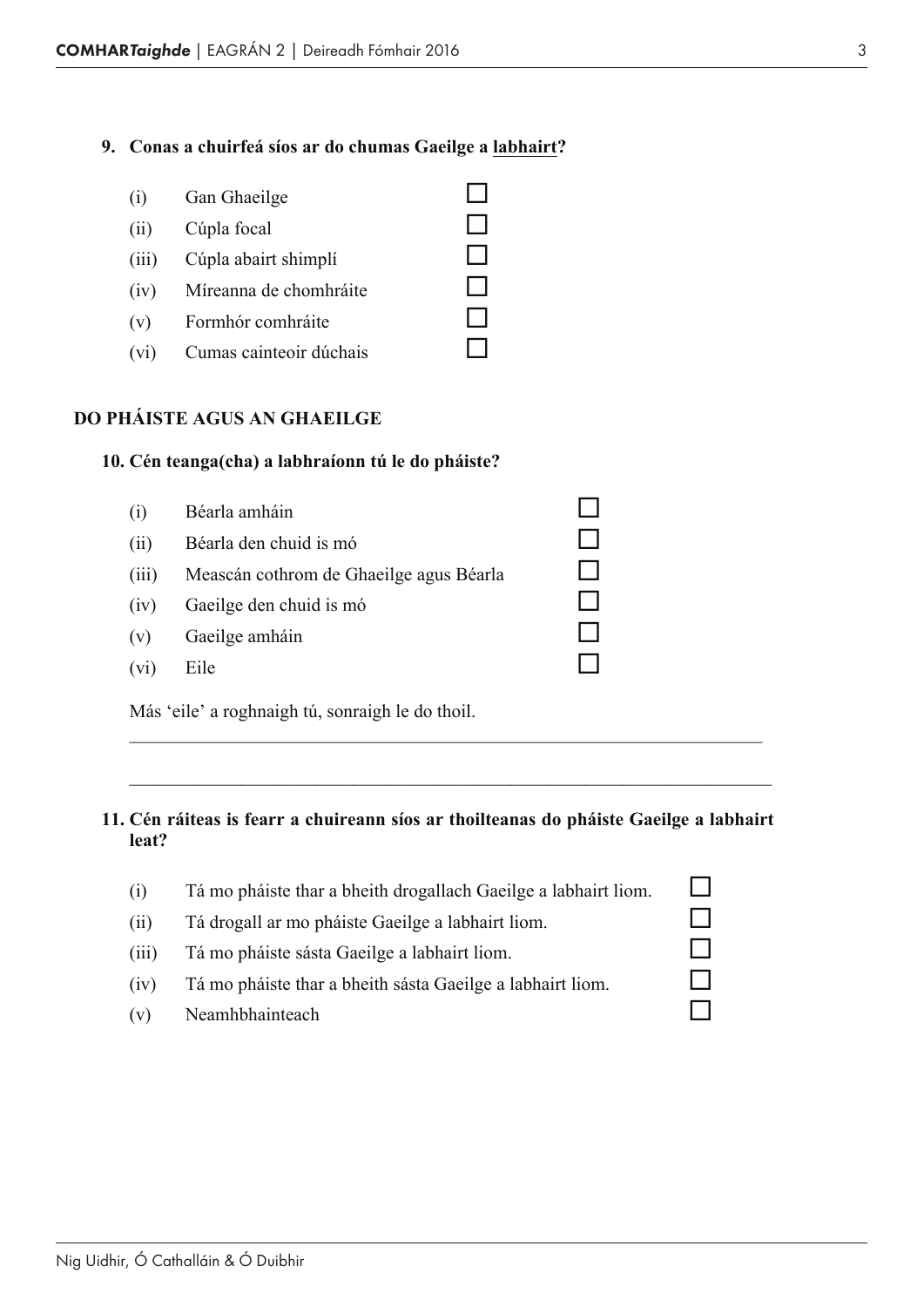## **9. Conas a chuirfeá síos ar do chumas Gaeilge a labhairt?**

|      | (i) Gan Ghaeilge            |  |
|------|-----------------------------|--|
| (ii) | Cúpla focal                 |  |
|      | (iii) Cúpla abairt shimplí  |  |
|      | (iv) Míreanna de chomhráite |  |
|      | (v) Formhór comhráite       |  |
| (vi) | Cumas cainteoir dúchais     |  |

## **DO PHÁISTE AGUS AN GHAEILGE**

#### **10. Cén teanga(cha) a labhraíonn tú le do pháiste?**

| (i)   | Béarla amháin                                    |  |
|-------|--------------------------------------------------|--|
| (ii)  | Béarla den chuid is mó                           |  |
| (iii) | Meascán cothrom de Ghaeilge agus Béarla          |  |
| (iv)  | Gaeilge den chuid is mó                          |  |
| (v)   | Gaeilge amháin                                   |  |
| (vi)  | Eile                                             |  |
|       | Más 'eile' a roghnaigh tú, sonraigh le do thoil. |  |

#### **11. Cén ráiteas is fearr a chuireann síos ar thoilteanas do pháiste Gaeilge a labhairt leat?**

\_\_\_\_\_\_\_\_\_\_\_\_\_\_\_\_\_\_\_\_\_\_\_\_\_\_\_\_\_\_\_\_\_\_\_\_\_\_\_\_\_\_\_\_\_\_\_\_\_\_\_\_\_\_\_\_\_\_\_\_\_\_\_\_\_\_\_\_

\_\_\_\_\_\_\_\_\_\_\_\_\_\_\_\_\_\_\_\_\_\_\_\_\_\_\_\_\_\_\_\_\_\_\_\_\_\_\_\_\_\_\_\_\_\_\_\_\_\_\_\_\_\_\_\_\_\_\_\_\_\_\_\_\_\_\_\_\_

| (1)   | Tá mo pháiste thar a bheith drogallach Gaeilge a labhairt liom. |  |
|-------|-----------------------------------------------------------------|--|
| (11)  | Tá drogall ar mo pháiste Gaeilge a labhairt liom.               |  |
| (111) | Tá mo pháiste sásta Gaeilge a labhairt liom.                    |  |
| (1V)  | Tá mo pháiste thar a bheith sásta Gaeilge a labhairt liom.      |  |
| (v)   | Neamhbhainteach                                                 |  |
|       |                                                                 |  |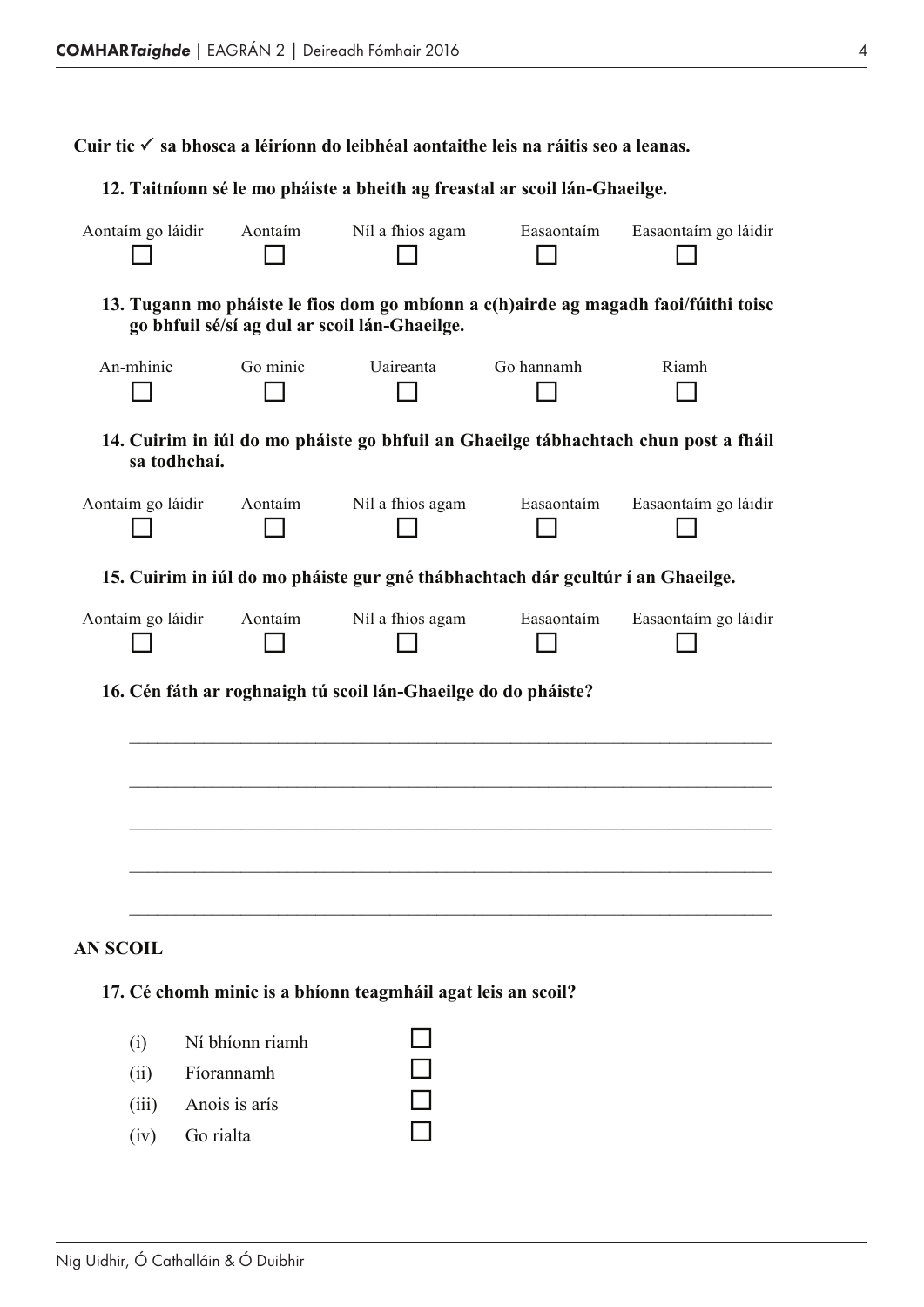**Cuir tic** P **sa bhosca a léiríonn do leibhéal aontaithe leis na ráitis seo a leanas.**

#### **12. Taitníonn sé le mo pháiste a bheith ag freastal ar scoil lán-Ghaeilge.**

| Aontaím go láidir | Aontaim                                                                                                                              | Níl a fhios agam | Easaontaím | Easaontaím go láidir |
|-------------------|--------------------------------------------------------------------------------------------------------------------------------------|------------------|------------|----------------------|
|                   | 13. Tugann mo pháiste le fios dom go mbíonn a c(h)airde ag magadh faoi/fúithi toisc<br>go bhfuil sé/sí ag dul ar scoil lán-Ghaeilge. |                  |            |                      |
| An-mhinic         | Go minic                                                                                                                             | Uaireanta        | Go hannamh | Riamh                |
|                   | 14. Cuirim in iúl do mo pháiste go bhfuil an Ghaeilge tábhachtach chun post a fháil<br>sa todhchaí.                                  |                  |            |                      |
| Aontaím go láidir | Aontaim                                                                                                                              | Níl a fhios agam | Easaontaim | Easaontaím go láidir |
|                   | 15. Cuirim in iúl do mo pháiste gur gné thábhachtach dár gcultúr í an Ghaeilge.                                                      |                  |            |                      |
| Aontaím go láidir | Aontaim                                                                                                                              | Níl a fhios agam | Easaontaim | Easaontaím go láidir |
|                   | 16. Cén fáth ar roghnaigh tú scoil lán-Ghaeilge do do pháiste?                                                                       |                  |            |                      |
|                   |                                                                                                                                      |                  |            |                      |
|                   |                                                                                                                                      |                  |            |                      |
|                   |                                                                                                                                      |                  |            |                      |
|                   |                                                                                                                                      |                  |            |                      |
| <b>AN SCOIL</b>   |                                                                                                                                      |                  |            |                      |
|                   | 17. Cé chomh minic is a bhíonn teagmháil agat leis an scoil?                                                                         |                  |            |                      |
|                   |                                                                                                                                      |                  |            |                      |
| (i)               | Ní bhíonn riamh                                                                                                                      |                  |            |                      |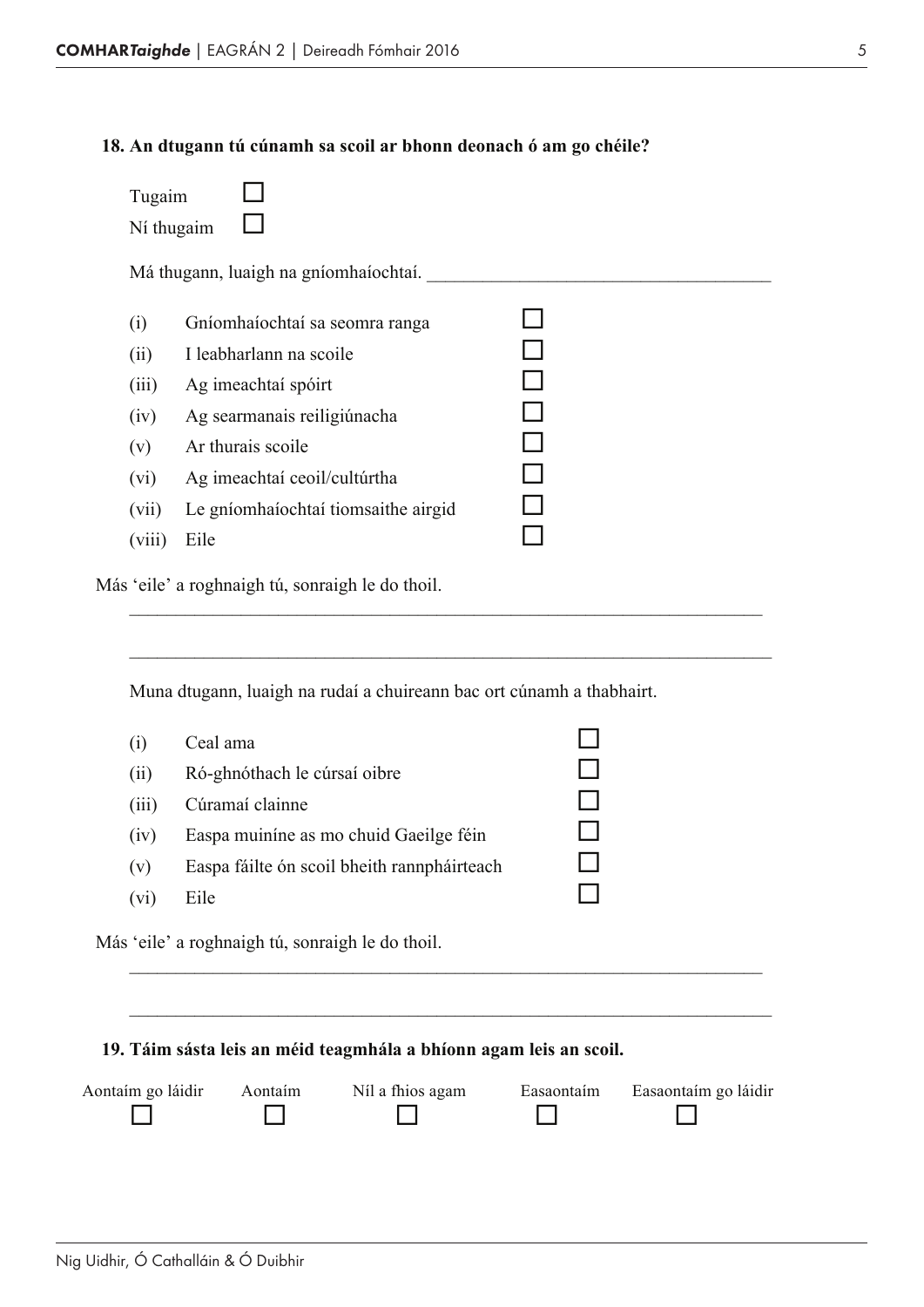## **18. An dtugann tú cúnamh sa scoil ar bhonn deonach ó am go chéile?**

| Tugaim     |                                       |  |
|------------|---------------------------------------|--|
| Ní thugaim |                                       |  |
|            | Má thugann, luaigh na gníomhaíochtaí. |  |
| (i)        | Gníomhaíochtaí sa seomra ranga        |  |
| (ii)       | I leabharlann na scoile               |  |
| (iii)      | Ag imeachtaí spóirt                   |  |
| (iv)       | Ag searmanais reiligiúnacha           |  |
| (v)        | Ar thurais scoile                     |  |
| (vi)       | Ag imeachtaí ceoil/cultúrtha          |  |
| (vii)      | Le gníomhaíochtaí tiomsaithe airgid   |  |
| (viii)     | Eile                                  |  |

\_\_\_\_\_\_\_\_\_\_\_\_\_\_\_\_\_\_\_\_\_\_\_\_\_\_\_\_\_\_\_\_\_\_\_\_\_\_\_\_\_\_\_\_\_\_\_\_\_\_\_\_\_\_\_\_\_\_\_\_\_\_\_\_\_\_\_\_

\_\_\_\_\_\_\_\_\_\_\_\_\_\_\_\_\_\_\_\_\_\_\_\_\_\_\_\_\_\_\_\_\_\_\_\_\_\_\_\_\_\_\_\_\_\_\_\_\_\_\_\_\_\_\_\_\_\_\_\_\_\_\_\_\_\_\_\_\_

Más 'eile' a roghnaigh tú, sonraigh le do thoil.

Muna dtugann, luaigh na rudaí a chuireann bac ort cúnamh a thabhairt.

| (i)   | Ceal ama                                         |  |
|-------|--------------------------------------------------|--|
| (ii)  | Ró-ghnóthach le cúrsaí oibre                     |  |
| (iii) | Cúramaí clainne                                  |  |
| (iv)  | Easpa muiníne as mo chuid Gaeilge féin           |  |
| (v)   | Easpa fáilte ón scoil bheith rannpháirteach      |  |
| (vi)  | Eile                                             |  |
|       | Más 'eile' a roghnaigh tú, sonraigh le do thoil. |  |
|       |                                                  |  |

## **19. Táim sásta leis an méid teagmhála a bhíonn agam leis an scoil.**

| Aontaim go láidir | Aontaim | Níl a fhios agam | Easaontaím | Easaontaím go láidir |
|-------------------|---------|------------------|------------|----------------------|
|                   |         |                  |            |                      |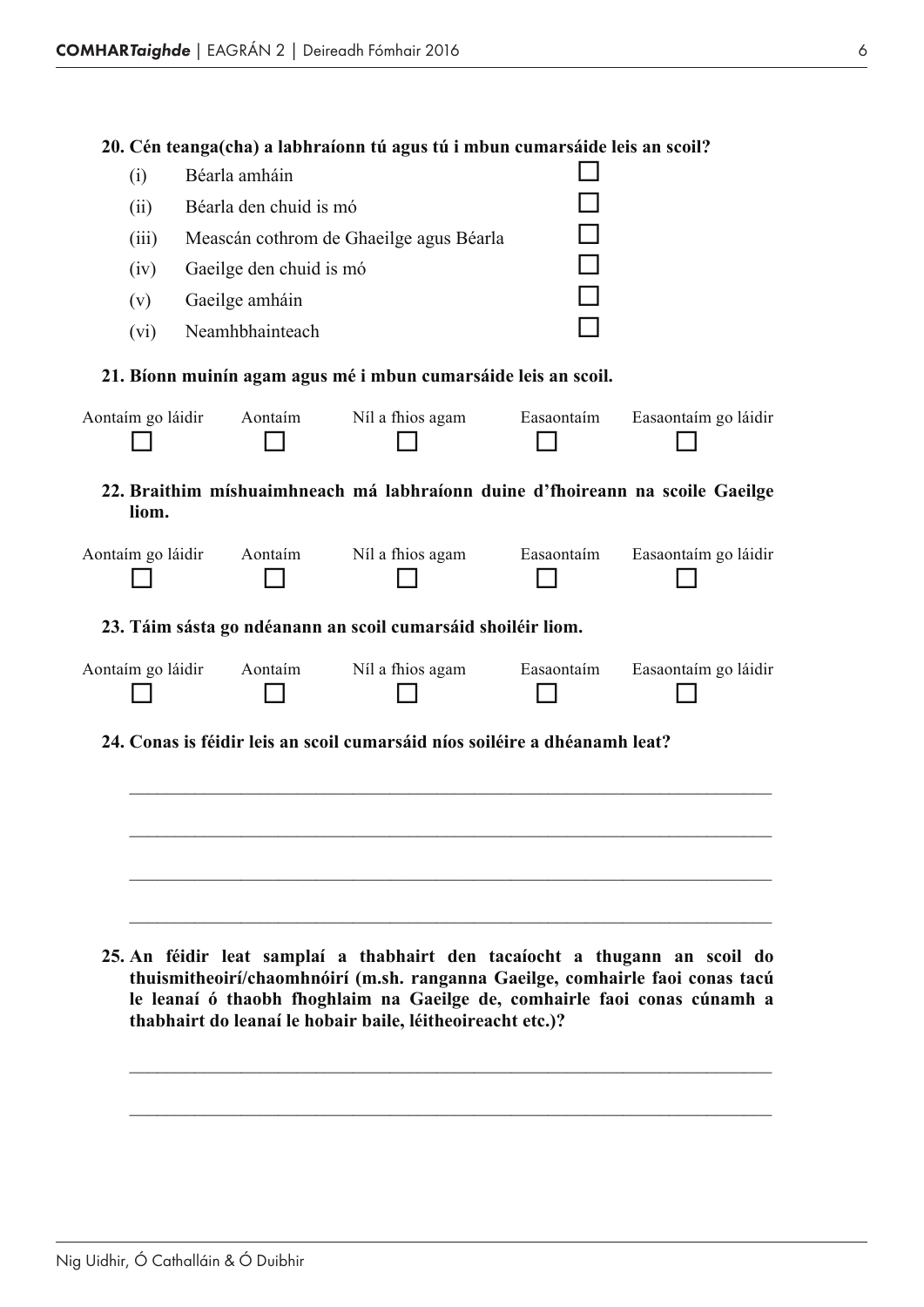|                   |                         | 20. Cén teanga(cha) a labhraíonn tú agus tú i mbun cumarsáide leis an scoil?  |            |                      |
|-------------------|-------------------------|-------------------------------------------------------------------------------|------------|----------------------|
| (i)               | Béarla amháin           |                                                                               |            |                      |
| (ii)              | Béarla den chuid is mó  |                                                                               |            |                      |
| (iii)             |                         | Meascán cothrom de Ghaeilge agus Béarla                                       |            |                      |
| (iv)              | Gaeilge den chuid is mó |                                                                               |            |                      |
| (v)               | Gaeilge amháin          |                                                                               |            |                      |
| (vi)              | Neamhbhainteach         |                                                                               |            |                      |
|                   |                         | 21. Bíonn muinín agam agus mé i mbun cumarsáide leis an scoil.                |            |                      |
| Aontaím go láidir | Aontaim                 | Níl a fhios agam                                                              | Easaontaím | Easaontaím go láidir |
| liom.             |                         | 22. Braithim míshuaimhneach má labhraíonn duine d'fhoireann na scoile Gaeilge |            |                      |
| Aontaím go láidir | Aontaim                 | Níl a fhios agam                                                              | Easaontaím | Easaontaím go láidir |
|                   |                         | 23. Táim sásta go ndéanann an scoil cumarsáid shoiléir liom.                  |            |                      |
| Aontaím go láidir | Aontaim                 | Níl a fhios agam                                                              | Easaontaím | Easaontaím go láidir |
|                   |                         | 24. Conas is féidir leis an scoil cumarsáid níos soiléire a dhéanamh leat?    |            |                      |
|                   |                         |                                                                               |            |                      |
|                   |                         |                                                                               |            |                      |
|                   |                         |                                                                               |            |                      |
|                   |                         |                                                                               |            |                      |

**25. An féidir leat samplaí a thabhairt den tacaíocht a thugann an scoil do thuismitheoirí/chaomhnóirí (m.sh. ranganna Gaeilge, comhairle faoi conas tacú le leanaí ó thaobh fhoghlaim na Gaeilge de, comhairle faoi conas cúnamh a thabhairt do leanaí le hobair baile, léitheoireacht etc.)?**

\_\_\_\_\_\_\_\_\_\_\_\_\_\_\_\_\_\_\_\_\_\_\_\_\_\_\_\_\_\_\_\_\_\_\_\_\_\_\_\_\_\_\_\_\_\_\_\_\_\_\_\_\_\_\_\_\_\_\_\_\_\_\_\_\_\_\_\_\_

\_\_\_\_\_\_\_\_\_\_\_\_\_\_\_\_\_\_\_\_\_\_\_\_\_\_\_\_\_\_\_\_\_\_\_\_\_\_\_\_\_\_\_\_\_\_\_\_\_\_\_\_\_\_\_\_\_\_\_\_\_\_\_\_\_\_\_\_\_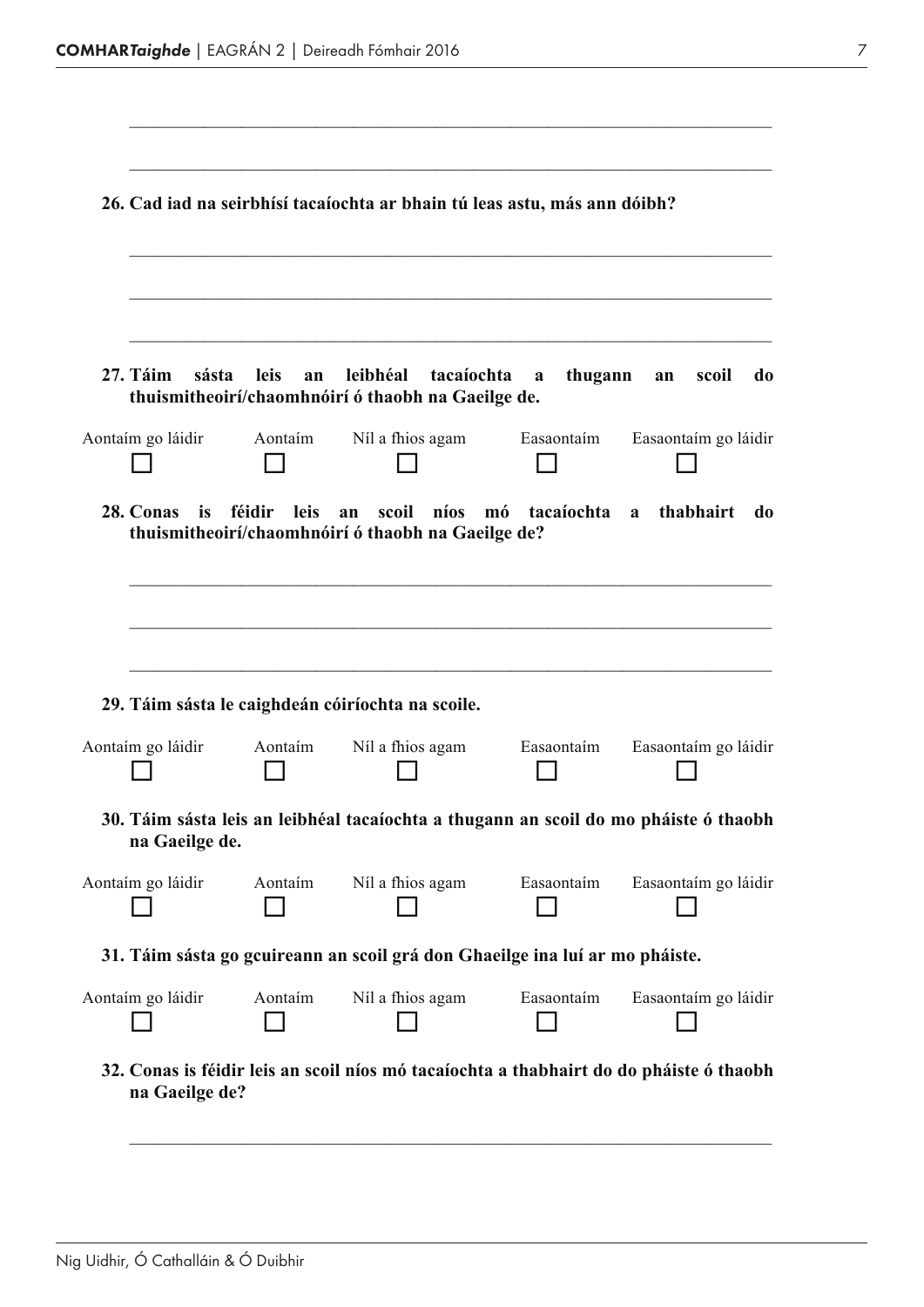| 27. Táim<br>sásta                      | <b>leis</b><br>an | leibhéal<br>tacaíochta<br>thuismitheoirí/chaomhnóirí ó thaobh na Gaeilge de.         | thugann<br>a     | scoil<br>do<br>an    |
|----------------------------------------|-------------------|--------------------------------------------------------------------------------------|------------------|----------------------|
| Aontaim go láidir                      | Aontaim           | Níl a fhios agam                                                                     | Easaontaim       | Easaontaím go láidir |
| 28. Conas<br>is                        | féidir<br>leis    | scoil<br>níos<br>an<br>thuismitheoirí/chaomhnóirí ó thaobh na Gaeilge de?            | tacaíochta<br>mó | thabhairt<br>do<br>a |
|                                        |                   |                                                                                      |                  |                      |
|                                        |                   |                                                                                      |                  |                      |
|                                        |                   |                                                                                      |                  |                      |
|                                        |                   |                                                                                      |                  |                      |
|                                        |                   |                                                                                      |                  |                      |
|                                        | Aontaim           | 29. Táim sásta le caighdeán cóiríochta na scoile.                                    | Easaontaim       |                      |
|                                        |                   | Níl a fhios agam                                                                     |                  |                      |
| na Gaeilge de.                         |                   | 30. Táim sásta leis an leibhéal tacaíochta a thugann an scoil do mo pháiste ó thaobh |                  | Easaontaím go láidir |
|                                        | Aontaim           | Níl a fhios agam                                                                     | Easaontaím       | Easaontaím go láidir |
| Aontaím go láidir<br>Aontaím go láidir |                   |                                                                                      |                  |                      |
|                                        |                   | 31. Táim sásta go gcuireann an scoil grá don Ghaeilge ina luí ar mo pháiste.         |                  |                      |
| Aontaím go láidir                      | Aontaim           | Níl a fhios agam                                                                     | Easaontaím       | Easaontaím go láidir |

 $\_$  , and the set of the set of the set of the set of the set of the set of the set of the set of the set of the set of the set of the set of the set of the set of the set of the set of the set of the set of the set of th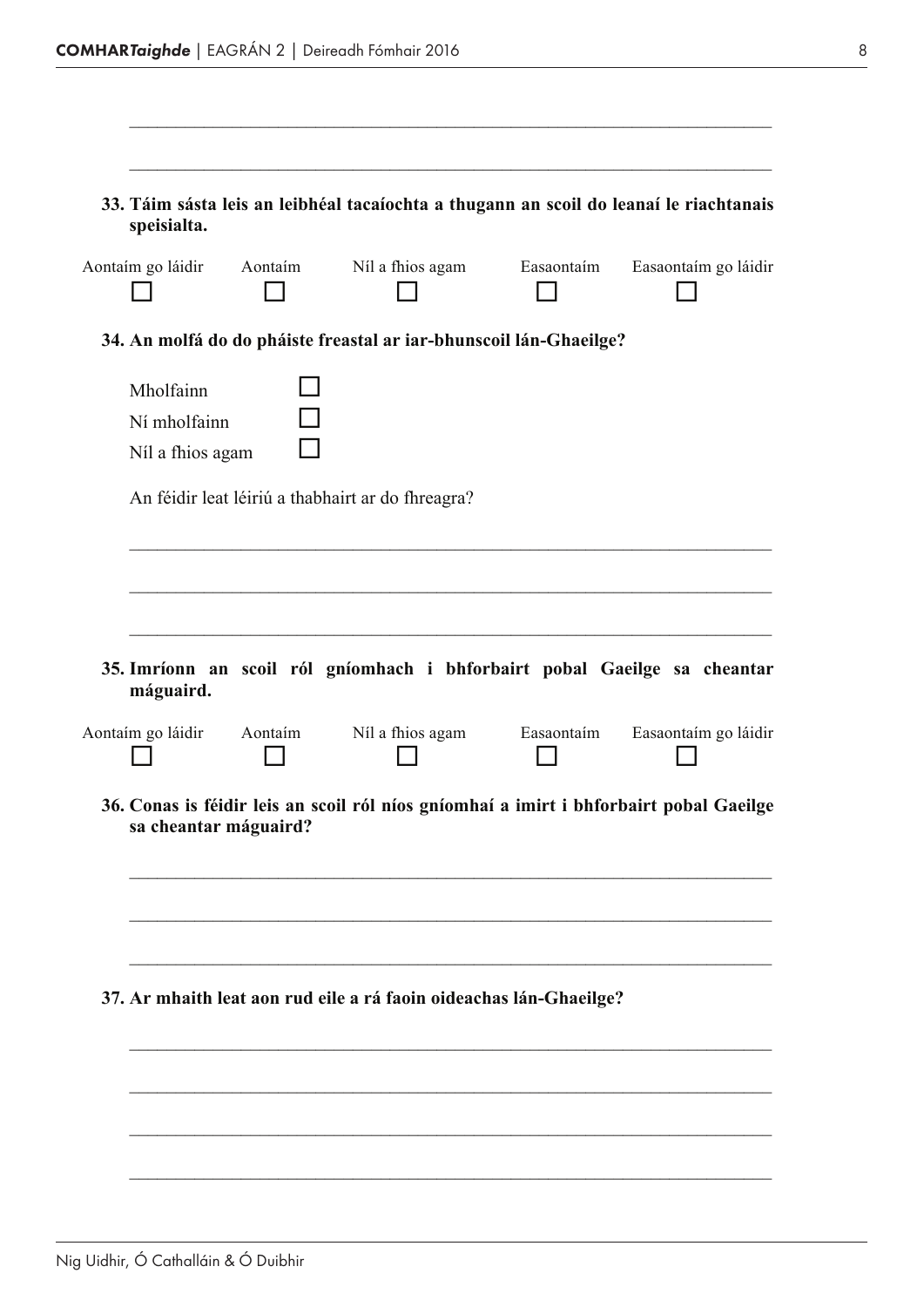| speisialta.<br>Aontaim go láidir Aontaim      |         | Níl a fhios agam Easaontaim                                                            | Easaontaím go láidir |
|-----------------------------------------------|---------|----------------------------------------------------------------------------------------|----------------------|
|                                               |         |                                                                                        |                      |
|                                               |         | 34. An molfá do do pháiste freastal ar iar-bhunscoil lán-Ghaeilge?                     |                      |
| Mholfainn<br>Ní mholfainn<br>Níl a fhios agam |         |                                                                                        |                      |
|                                               |         | An féidir leat léiriú a thabhairt ar do fhreagra?                                      |                      |
|                                               |         |                                                                                        |                      |
|                                               |         |                                                                                        |                      |
|                                               |         |                                                                                        |                      |
|                                               |         |                                                                                        |                      |
| máguaird.                                     |         | 35. Imríonn an scoil ról gníomhach i bhforbairt pobal Gaeilge sa cheantar              |                      |
|                                               | Aontaim | Níl a fhios agam Easaontaim                                                            |                      |
|                                               |         | 36. Conas is féidir leis an scoil ról níos gníomhaí a imirt i bhforbairt pobal Gaeilge |                      |
| sa cheantar máguaird?                         |         |                                                                                        | Easaontaím go láidir |
|                                               |         |                                                                                        |                      |
|                                               |         |                                                                                        |                      |
|                                               |         |                                                                                        |                      |
| Aontaim go láidir                             |         | 37. Ar mhaith leat aon rud eile a rá faoin oideachas lán-Ghaeilge?                     |                      |